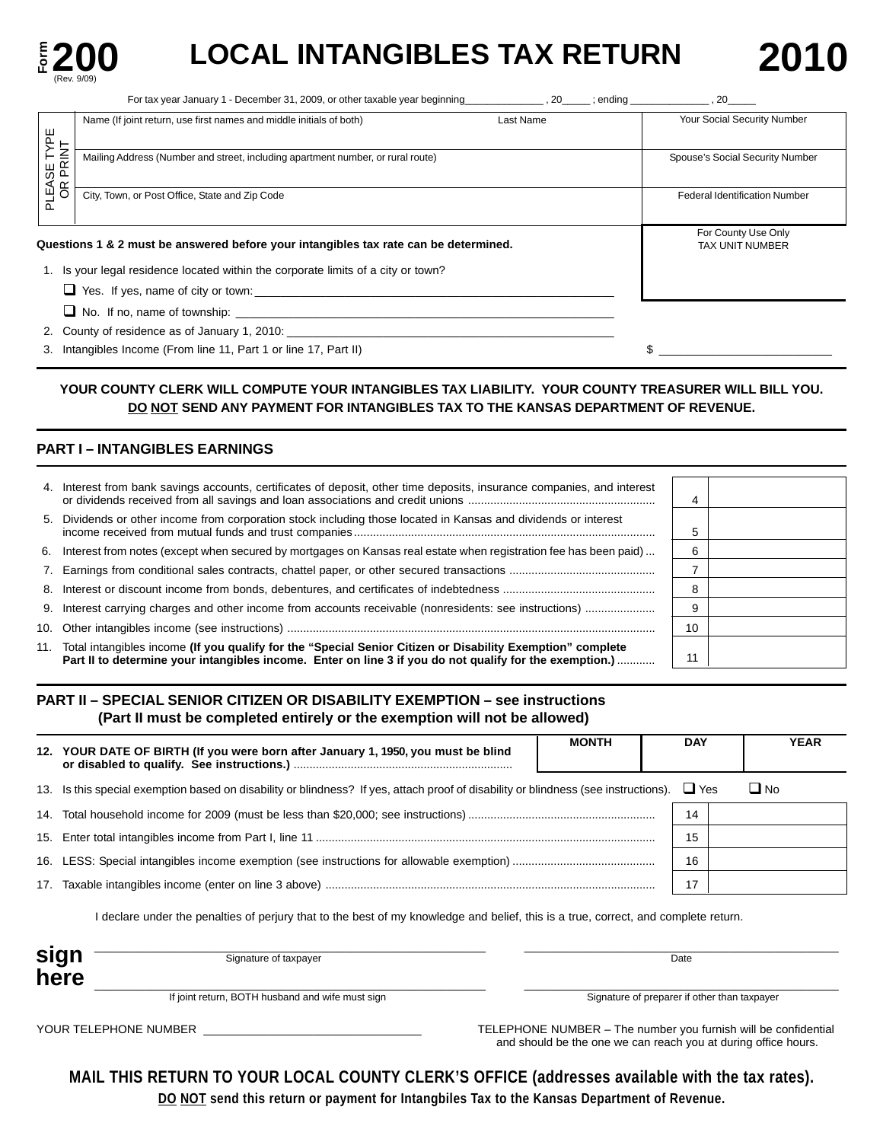

# LOCAL INTANGIBLES TAX RETURN 201

|                        | For tax year January 1 - December 31, 2009, or other taxable year beginning<br>. 20                                                                                                                                                  | $:$ ending<br>20                              |
|------------------------|--------------------------------------------------------------------------------------------------------------------------------------------------------------------------------------------------------------------------------------|-----------------------------------------------|
|                        | Last Name<br>Name (If joint return, use first names and middle initials of both)                                                                                                                                                     | Your Social Security Number                   |
| YPE                    |                                                                                                                                                                                                                                      |                                               |
| PLEASE TYP<br>OR PRINT | Mailing Address (Number and street, including apartment number, or rural route)                                                                                                                                                      | Spouse's Social Security Number               |
|                        |                                                                                                                                                                                                                                      |                                               |
|                        | City, Town, or Post Office, State and Zip Code                                                                                                                                                                                       | <b>Federal Identification Number</b>          |
|                        |                                                                                                                                                                                                                                      |                                               |
|                        | Questions 1 & 2 must be answered before your intangibles tax rate can be determined.                                                                                                                                                 | For County Use Only<br><b>TAX UNIT NUMBER</b> |
|                        | 1. Is your legal residence located within the corporate limits of a city or town?                                                                                                                                                    |                                               |
|                        | $\Box$ Yes. If yes, name of city or town:                                                                                                                                                                                            |                                               |
|                        | $\Box$ No. If no, name of township:                                                                                                                                                                                                  |                                               |
|                        | 2. County of residence as of January 1, 2010: <u>Community and the contract of the set of the contract of the contract of the contract of the contract of the contract of the contract of the contract of the contract of the co</u> |                                               |
|                        | 3. Intangibles Income (From line 11, Part 1 or line 17, Part II)                                                                                                                                                                     |                                               |

### YOUR COUNTY CLERK WILL COMPUTE YOUR INTANGIBLES TAX LIABILITY. YOUR COUNTY TREASURER WILL BILL YOU. **DO NOT SEND ANY PAYMENT FOR INTANGIBLES TAX TO THE KANSAS DEPARTMENT OF REVENUE.**

### **PART I – INTANGIBLES EARNINGS**

| 4. Interest from bank savings accounts, certificates of deposit, other time deposits, insurance companies, and interest                                                                                                   |    |  |
|---------------------------------------------------------------------------------------------------------------------------------------------------------------------------------------------------------------------------|----|--|
| 5. Dividends or other income from corporation stock including those located in Kansas and dividends or interest                                                                                                           | 5  |  |
| 6. Interest from notes (except when secured by mortgages on Kansas real estate when registration fee has been paid)                                                                                                       | 6  |  |
|                                                                                                                                                                                                                           |    |  |
|                                                                                                                                                                                                                           | 8  |  |
| 9. Interest carrying charges and other income from accounts receivable (nonresidents: see instructions)                                                                                                                   | 9  |  |
|                                                                                                                                                                                                                           | 10 |  |
| 11. Total intangibles income (If you qualify for the "Special Senior Citizen or Disability Exemption" complete<br>Part II to determine your intangibles income. Enter on line 3 if you do not qualify for the exemption.) | 11 |  |

### **PART II – SPECIAL SENIOR CITIZEN OR DISABILITY EXEMPTION – see instructions (Part II must be completed entirely or the exemption will not be allowed)**

| 12. YOUR DATE OF BIRTH (If you were born after January 1, 1950, you must be blind                                                       | <b>MONTH</b> | <b>DAY</b> |      | <b>YEAR</b> |
|-----------------------------------------------------------------------------------------------------------------------------------------|--------------|------------|------|-------------|
| 13. Is this special exemption based on disability or blindness? If yes, attach proof of disability or blindness (see instructions). Yes |              |            | ∐ No |             |
|                                                                                                                                         |              | 14         |      |             |
|                                                                                                                                         |              | 15         |      |             |
|                                                                                                                                         |              | 16         |      |             |
|                                                                                                                                         |              |            |      |             |
|                                                                                                                                         |              |            |      |             |

I declare under the penalties of perjury that to the best of my knowledge and belief, this is a true, correct, and complete return.

| Signature of taxpayer                            | Date                                         |
|--------------------------------------------------|----------------------------------------------|
|                                                  |                                              |
| If joint return, BOTH husband and wife must sign | Signature of preparer if other than taxpayer |

YOUR TELEPHONE NUMBER \_\_\_\_\_\_\_\_\_\_\_\_\_\_\_\_\_\_\_\_\_\_\_\_\_\_\_\_\_\_\_\_\_\_ TELEPHONE NUMBER – The number you furnish will be confidential and should be the one we can reach you at during office hours.

**MAIL THIS RETURN TO YOUR LOCAL COUNTY CLERK'S OFFICE (addresses available with the tax rates). DO NOT send this return or payment for Intangbiles Tax to the Kansas Department of Revenue.**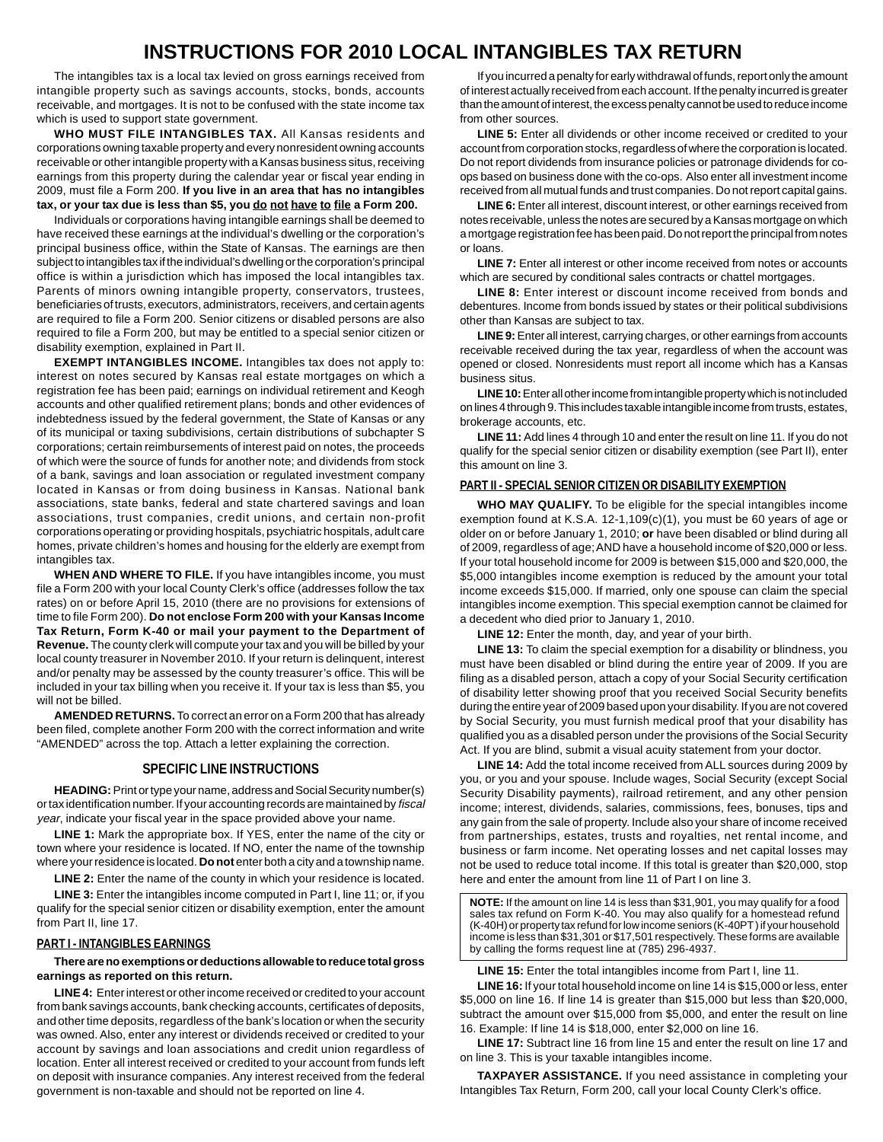### **INSTRUCTIONS FOR 2010 LOCAL INTANGIBLES TAX RETURN**

The intangibles tax is a local tax levied on gross earnings received from intangible property such as savings accounts, stocks, bonds, accounts receivable, and mortgages. It is not to be confused with the state income tax which is used to support state government.

**WHO MUST FILE INTANGIBLES TAX.** All Kansas residents and corporations owning taxable property and every nonresident owning accounts receivable or other intangible property with a Kansas business situs, receiving earnings from this property during the calendar year or fiscal year ending in 2009, must file a Form 200. **If you live in an area that has no intangibles tax, or your tax due is less than \$5, you do not have to file a Form 200.** 

Individuals or corporations having intangible earnings shall be deemed to have received these earnings at the individual's dwelling or the corporation's principal business office, within the State of Kansas. The earnings are then subject to intangibles tax if the individual's dwelling or the corporation's principal office is within a jurisdiction which has imposed the local intangibles tax. Parents of minors owning intangible property, conservators, trustees, beneficiaries of trusts, executors, administrators, receivers, and certain agents are required to file a Form 200. Senior citizens or disabled persons are also required to file a Form 200, but may be entitled to a special senior citizen or disability exemption, explained in Part II.

**EXEMPT INTANGIBLES INCOME.** Intangibles tax does not apply to: interest on notes secured by Kansas real estate mortgages on which a registration fee has been paid; earnings on individual retirement and Keogh accounts and other qualified retirement plans; bonds and other evidences of indebtedness issued by the federal government, the State of Kansas or any of its municipal or taxing subdivisions, certain distributions of subchapter S corporations; certain reimbursements of interest paid on notes, the proceeds of which were the source of funds for another note; and dividends from stock of a bank, savings and loan association or regulated investment company located in Kansas or from doing business in Kansas. National bank associations, state banks, federal and state chartered savings and loan associations, trust companies, credit unions, and certain non-profit corporations operating or providing hospitals, psychiatric hospitals, adult care homes, private children's homes and housing for the elderly are exempt from intangibles tax.

**WHEN AND WHERE TO FILE.** If you have intangibles income, you must file a Form 200 with your local County Clerk's office (addresses follow the tax rates) on or before April 15, 2010 (there are no provisions for extensions of time to file Form 200). **Do not enclose Form 200 with your Kansas Income Tax Return, Form K-40 or mail your payment to the Department of Revenue.** The county clerk will compute your tax and you will be billed by your local county treasurer in November 2010. If your return is delinquent, interest and/or penalty may be assessed by the county treasurer's office. This will be included in your tax billing when you receive it. If your tax is less than \$5, you will not be billed.

**AMENDED RETURNS.** To correct an error on a Form 200 that has already been filed, complete another Form 200 with the correct information and write "AMENDED" across the top. Attach a letter explaining the correction.

### **SPECIFIC LINE INSTRUCTIONS**

**HEADING:** Print or type your name, address and Social Security number(s) ortax identification number. If your accounting records are maintained by fiscal year, indicate your fiscal year in the space provided above your name.

**LINE 1:** Mark the appropriate box. If YES, enter the name of the city or town where your residence is located. If NO, enter the name of the township where your residence is located. **Do not** enter both a city and a township name.

LINE 2: Enter the name of the county in which your residence is located.

**LINE 3:** Enter the intangibles income computed in Part I, line 11; or, if you qualify for the special senior citizen or disability exemption, enter the amount from Part II, line 17.

#### **PART I - INTANGIBLES EARNINGS**

**There are no exemptions or deductions allowable to reduce total gross earnings as reported on this return.** 

**LINE 4:** Enter interest or other income received or credited to your account from bank savings accounts, bank checking accounts, certificates of deposits, and other time deposits, regardless of the bank's location or when the security was owned. Also, enter any interest or dividends received or credited to your account by savings and loan associations and credit union regardless of location. Enter all interest received or credited to your account from funds left on deposit with insurance companies. Any interest received from the federal government is non-taxable and should not be reported on line 4.

If you incurred a penalty for early withdrawal of funds, report only the amount of interest actually received from each account. If the penalty incurred is greater than the amount of interest, the excess penalty cannot be used to reduce income from other sources.

**LINE 5:** Enter all dividends or other income received or credited to your account from corporation stocks, regardless of where the corporation is located. Do not report dividends from insurance policies or patronage dividends for coops based on business done with the co-ops. Also enter all investment income received from all mutual funds and trust companies. Do not report capital gains.

**LINE 6:** Enter all interest, discount interest, or other earnings received from notes receivable, unless the notes are secured by a Kansas mortgage on which a mortgage registration fee has been paid. Do not report the principal from notes or loans.

LINE 7: Enter all interest or other income received from notes or accounts which are secured by conditional sales contracts or chattel mortgages.

LINE 8: Enter interest or discount income received from bonds and debentures. Income from bonds issued by states or their political subdivisions other than Kansas are subject to tax.

**LINE 9:** Enter all interest, carrying charges, or other earnings from accounts receivable received during the tax year, regardless of when the account was opened or closed. Nonresidents must report all income which has a Kansas business situs.

**LINE 10:**Enter all other income from intangible property which is not included on lines 4 through 9. This includes taxable intangible income from trusts, estates, brokerage accounts, etc.

LINE 11: Add lines 4 through 10 and enter the result on line 11. If you do not qualify for the special senior citizen or disability exemption (see Part II), enter this amount on line 3.

### **PART II - SPECIAL SENIOR CITIZEN OR DISABILITY EXEMPTION**

**WHO MAY QUALIFY.** To be eligible for the special intangibles income exemption found at K.S.A. 12-1,109(c)(1), you must be 60 years of age or older on or before January 1, 2010; **or** have been disabled or blind during all of 2009, regardless of age; AND have a household income of \$20,000 or less. If your total household income for 2009 is between \$15,000 and \$20,000, the \$5,000 intangibles income exemption is reduced by the amount your total income exceeds \$15,000. If married, only one spouse can claim the special intangibles income exemption. This special exemption cannot be claimed for a decedent who died prior to January 1, 2010.

**LINE 12:** Enter the month, day, and year of your birth.

**LINE 13:** To claim the special exemption for a disability or blindness, you must have been disabled or blind during the entire year of 2009. If you are filing as a disabled person, attach a copy of your Social Security certification of disability letter showing proof that you received Social Security benefits during the entire year of 2009 based upon your disability. If you are not covered by Social Security, you must furnish medical proof that your disability has qualified you as a disabled person under the provisions of the Social Security Act. If you are blind, submit a visual acuity statement from your doctor.

**LINE 14:** Add the total income received from ALL sources during 2009 by you, or you and your spouse. Include wages, Social Security (except Social Security Disability payments), railroad retirement, and any other pension income; interest, dividends, salaries, commissions, fees, bonuses, tips and any gain from the sale of property. Include also your share of income received from partnerships, estates, trusts and royalties, net rental income, and business or farm income. Net operating losses and net capital losses may not be used to reduce total income. If this total is greater than \$20,000, stop here and enter the amount from line 11 of Part I on line 3.

**NOTE:** If the amount on line 14 is less than \$31,901, you may qualify for a food sales tax refund on Form K-40. You may also qualify for a homestead refund (K-40H) or property tax refund for low income seniors (K-40PT ) if your household income is less than \$31,301 or \$17,501 respectively. These forms are available by calling the forms request line at (785) 296-4937.

**LINE 15:** Enter the total intangibles income from Part I, line 11.

**LINE 16:** If your total household income on line 14 is \$15,000 or less, enter \$5,000 on line 16. If line 14 is greater than \$15,000 but less than \$20,000, subtract the amount over \$15,000 from \$5,000, and enter the result on line 16. Example: If line 14 is \$18,000, enter \$2,000 on line 16.

**LINE 17:** Subtract line 16 from line 15 and enter the result on line 17 and on line 3. This is your taxable intangibles income.

**TAXPAYER ASSISTANCE.** If you need assistance in completing your Intangibles Tax Return, Form 200, call your local County Clerk's office.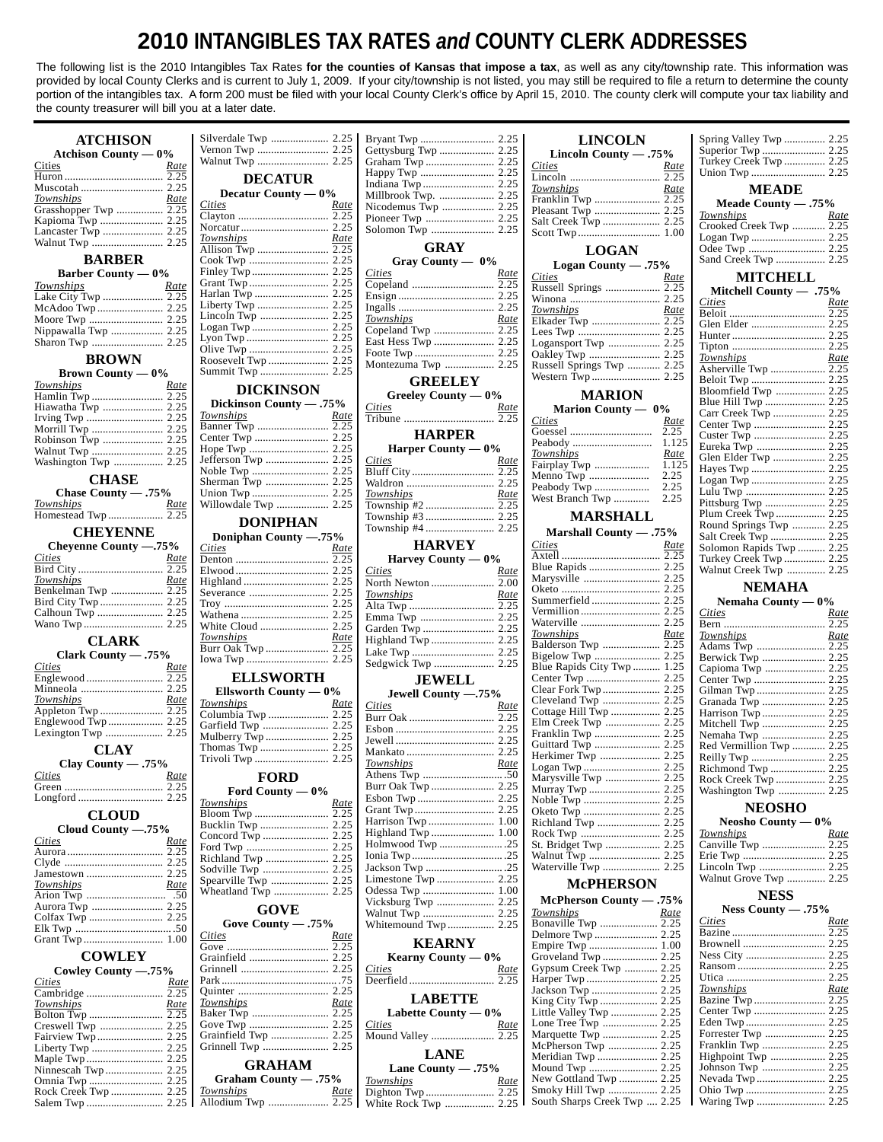## **2010 INTANGIBLES TAX RATES** *and* **COUNTY CLERK ADDRESSES**

The following list is the 2010 Intangibles Tax Rates **for the counties of Kansas that impose a tax**, as well as any city/township rate. This information was provided by local County Clerks and is current to July 1, 2009. If your city/township is not listed, you may still be required to file a return to determine the county portion of the intangibles tax. A form 200 must be filed with your local County Clerk's office by April 15, 2010. The county clerk will compute your tax liability and the county treasurer will bill you at a later date.

|                                        |                         |             |                                       |             | <b>LINCOLN</b>               |             | Spring Valley Twp  2.25  |      |
|----------------------------------------|-------------------------|-------------|---------------------------------------|-------------|------------------------------|-------------|--------------------------|------|
| <b>Atchison County — 0%</b>            |                         |             | Gettysburg Twp  2.25                  |             | Lincoln County - .75%        |             |                          |      |
| Cities<br>Rate                         | Walnut Twp  2.25        |             |                                       |             | Cities                       | <u>Rate</u> | Turkey Creek Twp  2.25   |      |
|                                        | <b>DECATUR</b>          |             |                                       |             |                              | 2.25        |                          |      |
|                                        |                         |             |                                       |             | Townships                    | Rate        | <b>MEADE</b>             |      |
| Townships<br>Rate                      | Decatur County — 0%     |             |                                       |             |                              |             |                          |      |
|                                        | <b>Cities</b>           | <u>Rate</u> |                                       |             | Pleasant Twp  2.25           |             | Meade County $-.75%$     |      |
|                                        |                         |             | Pioneer Twp  2.25                     |             |                              |             | Townships                | Rate |
| Lancaster Twp  2.25                    |                         |             | Solomon Twp  2.25                     |             |                              |             | Crooked Creek Twp  2.25  |      |
|                                        | Townships               | Rate        | <b>GRAY</b>                           |             |                              |             |                          |      |
|                                        |                         |             |                                       |             | <b>LOGAN</b>                 |             |                          |      |
| <b>BARBER</b>                          |                         |             | Gray County — 0%                      |             | Logan County - .75%          |             | Sand Creek Twp  2.25     |      |
| <b>Barber County — 0%</b>              |                         |             | <b>Cities</b>                         | <u>Rate</u> | <b>Cities</b>                | Rate        | <b>MITCHELL</b>          |      |
| Townships<br>Rate                      |                         |             |                                       |             | Russell Springs  2.25        |             | Mitchell County - .75%   |      |
|                                        |                         |             |                                       |             |                              |             | <b>Cities</b>            | Rate |
|                                        | Liberty Twp  2.25       |             |                                       |             | Townships                    | <u>Rate</u> |                          |      |
|                                        |                         |             | Townships                             | Rate        | Elkader Twp  2.25            |             | Glen Elder  2.25         |      |
| Nippawalla Twp  2.25                   |                         |             | Copeland Twp  2.25                    |             |                              |             |                          |      |
|                                        |                         |             | East Hess Twp  2.25                   |             | Logansport Twp  2.25         |             |                          |      |
| <b>BROWN</b>                           |                         |             |                                       |             |                              |             | Townships                | Rate |
|                                        |                         |             | Montezuma Twp  2.25                   |             | Russell Springs Twp  2.25    |             | Asherville Twp  2.25     |      |
| <b>Brown County — <math>0\%</math></b> |                         |             | <b>GREELEY</b>                        |             |                              |             |                          |      |
| Townships<br>Rate                      | <b>DICKINSON</b>        |             |                                       |             |                              |             |                          |      |
| Hamlin Twp  2.25                       | Dickinson County - .75% |             | Greeley County — 0%                   |             | <b>MARION</b>                |             | Blue Hill Twp  2.25      |      |
| Hiawatha Twp  2.25                     | Townships               | Rate        | Cities                                | Rate        | Marion County — 0%           |             | Carr Creek Twp  2.25     |      |
|                                        |                         |             |                                       |             | <b>Cities</b>                | Rate        |                          |      |
|                                        |                         |             | <b>HARPER</b>                         |             |                              |             |                          |      |
|                                        |                         |             | Harper County $-0\%$                  |             |                              |             |                          |      |
|                                        |                         |             | <b>Cities</b>                         | Rate        | Townships                    | Rate        | Glen Elder Twp  2.25     |      |
| Washington Twp  2.25                   |                         |             |                                       |             | Fairplay Twp                 | 1.125       | Hayes Twp  2.25          |      |
| <b>CHASE</b>                           |                         |             |                                       |             | Menno Twp                    | 2.25        |                          |      |
| Chase County - .75%                    |                         |             | Townships                             | <u>Rate</u> | Peabody Twp                  | 2.25        | Lulu Twp  2.25           |      |
| Townships<br><u>Rate</u>               | Willowdale Twp  2.25    |             |                                       |             |                              |             |                          |      |
|                                        |                         |             |                                       |             | <b>MARSHALL</b>              |             | Plum Creek Twp 2.25      |      |
|                                        | <b>DONIPHAN</b>         |             |                                       |             |                              |             | Round Springs Twp  2.25  |      |
| <b>CHEYENNE</b>                        | Doniphan County -. 75%  |             |                                       |             | Marshall County - .75%       |             | Salt Creek Twp  2.25     |      |
| Cheyenne County -. 75%                 | <b>Cities</b>           | Rate        | <b>HARVEY</b>                         |             | <b>Cities</b>                | Rate        | Solomon Rapids Twp  2.25 |      |
| Cities<br>Rate                         |                         |             | Harvey County $-0\%$                  |             |                              |             | Turkey Creek Twp  2.25   |      |
|                                        |                         |             | <b>Cities</b>                         | Rate        | Blue Rapids  2.25            |             | Walnut Creek Twp  2.25   |      |
| Townships<br>Rate                      |                         |             |                                       |             |                              |             |                          |      |
| Benkelman Twp  2.25                    |                         |             | Townships                             | Rate        |                              |             | <b>NEMAHA</b>            |      |
|                                        |                         |             |                                       |             |                              |             | Nemaha County $-0\%$     |      |
|                                        |                         |             | Emma Twp  2.25                        |             |                              |             | Cities                   | Rate |
|                                        |                         |             |                                       |             | Waterville  2.25             |             |                          |      |
|                                        | Townships               | <u>Rate</u> |                                       |             | <b>Townships</b>             | <u>Rate</u> | Townships                | Rate |
|                                        |                         |             |                                       |             |                              |             |                          |      |
| <b>CLARK</b>                           |                         |             |                                       |             | Balderson Twp  2.25          |             | Adams Twp  2.25          |      |
| Clark County — .75%                    |                         |             |                                       |             |                              |             | Berwick Twp  2.25        |      |
| <b>Cities</b><br>Rate                  |                         |             | Sedgwick Twp  2.25                    |             | Blue Rapids City Twp  1.25   |             | Capioma Twp  2.25        |      |
|                                        | <b>ELLSWORTH</b>        |             | <b>JEWELL</b>                         |             |                              |             |                          |      |
|                                        | Ellsworth County $-0\%$ |             |                                       |             |                              |             |                          |      |
| Townships<br><u>Rate</u>               | Townships               | Rate        | Jewell County -. 75%                  |             |                              |             | Granada Twp  2.25        |      |
|                                        | Columbia Twp  2.25      |             | <b>Cities</b>                         | Rate        | Cottage Hill Twp  2.25       |             | Harrison Twp  2.25       |      |
|                                        | Garfield Twp  2.25      |             |                                       |             |                              |             | Mitchell Twp  2.25       |      |
|                                        |                         |             |                                       |             |                              |             |                          |      |
|                                        |                         |             |                                       |             |                              |             | Red Vermillion Twp  2.25 |      |
| <b>CLAY</b>                            |                         |             |                                       |             | Herkimer Twp  2.25           |             |                          |      |
| Clay County - .75%                     |                         |             | <b>Townships</b>                      | <u>Rate</u> |                              |             | Richmond Twp  2.25       |      |
| <b>Cities</b><br>Rate                  | <b>FORD</b>             |             |                                       |             |                              |             | Rock Creek Twp  2.25     |      |
|                                        | Ford County $-0\%$      |             |                                       |             |                              |             | Washington Twp  2.25     |      |
|                                        | <b>Townships</b>        | Rate        |                                       |             |                              |             |                          |      |
| <b>CLOUD</b>                           |                         |             |                                       |             |                              |             | <b>NEOSHO</b>            |      |
| Cloud County -.75%                     |                         |             |                                       |             |                              |             | Neosho County $-0\%$     |      |
| <b>Cities</b><br><u>Rate</u>           |                         |             | Highland Twp  1.00                    |             |                              |             | Townships                | Rate |
|                                        |                         |             |                                       |             |                              |             |                          |      |
|                                        |                         |             |                                       |             |                              |             |                          |      |
|                                        |                         |             |                                       |             |                              |             |                          |      |
| Townships<br><u>Rate</u>               | Spearville Twp  2.25    |             |                                       |             | <b>McPHERSON</b>             |             | Walnut Grove Twp  2.25   |      |
|                                        |                         |             |                                       |             |                              |             | <b>NESS</b>              |      |
| Aurora Twp  2.25                       | <b>GOVE</b>             |             | Vicksburg Twp  2.25                   |             | McPherson County - .75%      |             | Ness County $-.75%$      |      |
|                                        |                         |             |                                       |             | Townships                    | <u>Rate</u> | Cities                   | Rate |
|                                        | Gove County - .75%      |             | Whitemound Twp 2.25                   |             | Bonaville Twp  2.25          |             |                          |      |
|                                        | <b>Cities</b>           | <u>Rate</u> | <b>KEARNY</b>                         |             |                              |             | Brownell  2.25           |      |
|                                        |                         |             |                                       |             |                              |             |                          |      |
| <b>COWLEY</b>                          |                         |             | Kearny County $-0\%$<br><b>Cities</b> | <u>Rate</u> | Gypsum Creek Twp  2.25       |             |                          |      |
| Cowley County -.75%                    |                         |             |                                       |             |                              |             |                          |      |
| <i>Cities</i><br><u>Rate</u>           |                         |             |                                       |             | Jackson Twp  2.25            |             | Townships                | Rate |
|                                        | Townships               | Rate        | <b>LABETTE</b>                        |             |                              |             | Bazine Twp  2.25         |      |
| Townships<br><u>Rate</u>               |                         |             | Labette County $-0\%$                 |             | Little Valley Twp  2.25      |             |                          |      |
|                                        |                         |             | <b>Cities</b>                         | Rate        |                              |             |                          |      |
|                                        | Grainfield Twp  2.25    |             | Mound Valley  2.25                    |             |                              |             |                          |      |
|                                        |                         |             |                                       |             | McPherson Twp  2.25          |             | Franklin Twp  2.25       |      |
|                                        |                         |             | <b>LANE</b>                           |             | Meridian Twp  2.25           |             | Highpoint Twp  2.25      |      |
|                                        | <b>GRAHAM</b>           |             | Lane County — $.75\%$                 |             |                              |             |                          |      |
|                                        | Graham County - .75%    |             | Townships                             | <u>Rate</u> | New Gottland Twp  2.25       |             |                          |      |
|                                        | Townships               | <u>Rate</u> |                                       |             | Smoky Hill Twp  2.25         |             |                          |      |
|                                        |                         |             | White Rock Twp  2.25                  |             | South Sharps Creek Twp  2.25 |             | Waring Twp  2.25         |      |

|                                    |             |                                 |             | <b>LINCOLN</b>               |             | Spring Valley Twp  2.25      |             |
|------------------------------------|-------------|---------------------------------|-------------|------------------------------|-------------|------------------------------|-------------|
|                                    |             |                                 |             | Lincoln County - .75%        |             |                              |             |
|                                    |             | Graham Twp  2.25                |             | <b>Cities</b>                | <u>Rate</u> | Turkey Creek Twp  2.25       |             |
| <b>DECATUR</b>                     |             | Happy Twp  2.25                 |             |                              |             |                              |             |
| Decatur County — 0%                |             |                                 |             | <b>Townships</b>             | Rate        | <b>MEADE</b>                 |             |
|                                    |             |                                 |             | Franklin Twp  2.25           |             | Meade County $-.75%$         |             |
| <i>Cities</i>                      | <u>Rate</u> | Nicodemus Twp  2.25             |             |                              |             | Townships                    | Rate        |
|                                    |             |                                 |             |                              |             | Crooked Creek Twp  2.25      |             |
| Townships                          | Rate        |                                 |             |                              |             | Logan Twp  2.25              |             |
|                                    |             | <b>GRAY</b>                     |             |                              |             | Odee Twp  2.25               |             |
|                                    |             |                                 |             | <b>LOGAN</b>                 |             | Sand Creek Twp  2.25         |             |
|                                    |             | Gray County $- 0\%$             |             | Logan County - .75%          |             |                              |             |
|                                    |             | Cities                          | Rate        | <b>Cities</b>                | Rate        | <b>MITCHELL</b>              |             |
|                                    |             |                                 |             | Russell Springs  2.25        |             | Mitchell County - .75%       |             |
| Liberty Twp  2.25                  |             |                                 |             |                              |             | Cities                       | Rate        |
|                                    |             |                                 |             | Townships                    | Rate        |                              |             |
|                                    |             | Townships                       | Rate        |                              |             |                              |             |
|                                    |             | Copeland Twp  2.25              |             |                              |             |                              |             |
|                                    |             |                                 |             | Logansport Twp  2.25         |             |                              |             |
|                                    |             |                                 |             |                              |             | Townships                    | Rate        |
|                                    |             | Montezuma Twp  2.25             |             | Russell Springs Twp  2.25    |             | Asherville Twp  2.25         |             |
|                                    |             | <b>GREELEY</b>                  |             |                              |             |                              |             |
| <b>DICKINSON</b>                   |             |                                 |             | <b>MARION</b>                |             | Bloomfield Twp  2.25         |             |
| Dickinson County - .75%            |             | Greeley County $-0\%$           |             |                              |             | Blue Hill Twp  2.25          |             |
| Townships                          | <u>Rate</u> | <b>Cities</b>                   | <u>Rate</u> | Marion County — 0%           |             | Carr Creek Twp  2.25         |             |
|                                    |             |                                 |             | <b>Cities</b>                | Rate        |                              |             |
|                                    |             | <b>HARPER</b>                   |             |                              |             | Custer Twp  2.25             |             |
|                                    |             | Harper County $-0\%$            |             |                              |             |                              |             |
|                                    |             | <b>Cities</b>                   | Rate        | Townships                    | Rate        | Glen Elder Twp  2.25         |             |
|                                    |             |                                 |             |                              |             | Hayes Twp  2.25              |             |
|                                    |             |                                 |             | Menno Twp                    | 2.25        |                              |             |
|                                    |             | Townships                       | <u>Rate</u> |                              |             |                              |             |
| Willowdale Twp  2.25               |             |                                 |             |                              |             |                              |             |
|                                    |             |                                 |             | <b>MARSHALL</b>              |             | Plum Creek Twp 2.25          |             |
| <b>DONIPHAN</b>                    |             |                                 |             |                              |             | Round Springs Twp  2.25      |             |
| Doniphan County -.75%              |             |                                 |             | Marshall County - .75%       |             |                              |             |
| Cities                             | Rate        | HARVEY                          |             | <b>Cities</b>                | Rate        | Solomon Rapids Twp  2.25     |             |
|                                    |             | Harvey County $-0\%$            |             |                              |             | Turkey Creek Twp  2.25       |             |
|                                    |             | <b>Cities</b>                   | Rate        |                              |             | Walnut Creek Twp  2.25       |             |
|                                    |             |                                 |             |                              |             |                              |             |
|                                    |             | Townships                       | Rate        |                              |             | <b>NEMAHA</b>                |             |
|                                    |             | Alta Twp  2.25                  |             |                              |             | Nemaha County $-0\%$         |             |
|                                    |             |                                 |             |                              |             | <b>Cities</b>                | Rate        |
|                                    |             |                                 |             |                              |             |                              |             |
| Townships                          | Rate        |                                 |             | <b>Townships</b>             | <u>Rate</u> | Townships                    | Rate        |
|                                    |             |                                 |             | Balderson Twp  2.25          |             | Adams Twp  2.25              |             |
|                                    |             |                                 |             |                              |             |                              |             |
|                                    |             |                                 |             |                              |             | Berwick Twp  2.25            |             |
|                                    |             | Sedgwick Twp  2.25              |             | Blue Rapids City Twp  1.25   |             | Capioma Twp  2.25            |             |
| <b>ELLSWORTH</b>                   |             | <b>JEWELL</b>                   |             |                              |             |                              |             |
|                                    |             |                                 |             |                              |             |                              |             |
| Ellsworth County — 0%<br>Townships |             | Jewell County -. 75%            |             | Cleveland Twp  2.25          |             |                              |             |
|                                    | Rate        | <b>Cities</b>                   | Rate        |                              |             | Harrison Twp  2.25           |             |
|                                    |             |                                 |             |                              |             | Mitchell Twp  2.25           |             |
|                                    |             |                                 |             | Franklin Twp  2.25           |             |                              |             |
|                                    |             |                                 |             |                              |             | Red Vermillion Twp  2.25     |             |
|                                    |             |                                 |             |                              |             |                              |             |
|                                    |             | Townships                       | Rate        | Logan Twp  2.25              |             |                              |             |
| <b>FORD</b>                        |             |                                 |             | Marysville Twp  2.25         |             | Rock Creek Twp  2.25         |             |
| Ford County $-0\%$                 |             |                                 |             |                              |             | Washington Twp  2.25         |             |
| Townships                          | Rate        |                                 |             |                              |             |                              |             |
|                                    |             |                                 |             |                              |             | <b>NEOSHO</b>                |             |
|                                    |             |                                 |             |                              |             | Neosho County $-0\%$         |             |
|                                    |             | Highland Twp  1.00              |             |                              |             | <b>Townships</b>             | <u>Rate</u> |
|                                    |             |                                 |             | St. Bridget Twp  2.25        |             |                              |             |
|                                    |             |                                 |             |                              |             |                              |             |
|                                    |             |                                 |             | Waterville Twp  2.25         |             | Lincoln Twp  2.25            |             |
|                                    |             |                                 |             | <b>McPHERSON</b>             |             | Walnut Grove Twp  2.25       |             |
|                                    |             |                                 |             |                              |             | <b>NESS</b>                  |             |
|                                    |             | Vicksburg Twp  2.25             |             | McPherson County - .75%      |             |                              |             |
| <b>GOVE</b>                        |             |                                 |             | Townships                    | Rate        | Ness County - .75%<br>Cities | Rate        |
| Gove County - .75%                 |             | Whitemound Twp 2.25             |             | Bonaville Twp  2.25          |             |                              |             |
| <i>Cities</i>                      | <u>Rate</u> |                                 |             |                              |             |                              |             |
|                                    |             | <b>KEARNY</b>                   |             |                              |             |                              |             |
|                                    |             | Kearny County $-0\%$            |             |                              |             |                              |             |
|                                    |             | <b>Cities</b>                   | Rate        | Gypsum Creek Twp  2.25       |             |                              |             |
|                                    |             |                                 |             |                              |             | <b>Townships</b>             | Rate        |
|                                    |             | <b>LABETTE</b>                  |             |                              |             |                              |             |
| Townships                          | Rate        |                                 |             |                              |             |                              |             |
|                                    |             | Labette County $-0\%$           |             |                              |             |                              |             |
|                                    |             | <b>Cities</b>                   | <u>Rate</u> |                              |             | Forrester Twp  2.25          |             |
| Grainfield Twp  2.25               |             | Mound Valley  2.25              |             | McPherson Twp  2.25          |             |                              |             |
|                                    |             | <b>LANE</b>                     |             | Meridian Twp  2.25           |             | Highpoint Twp  2.25          |             |
| <b>GRAHAM</b>                      |             |                                 |             |                              |             |                              |             |
| Graham County - .75%               |             | Lane County - .75%<br>Townships | Rate        | New Gottland Twp  2.25       |             |                              |             |
| Townships                          | <u>Rate</u> |                                 |             |                              |             |                              |             |
|                                    |             | White Rock Twp  2.25            |             | South Sharps Creek Twp  2.25 |             | Waring Twp  2.25             |             |